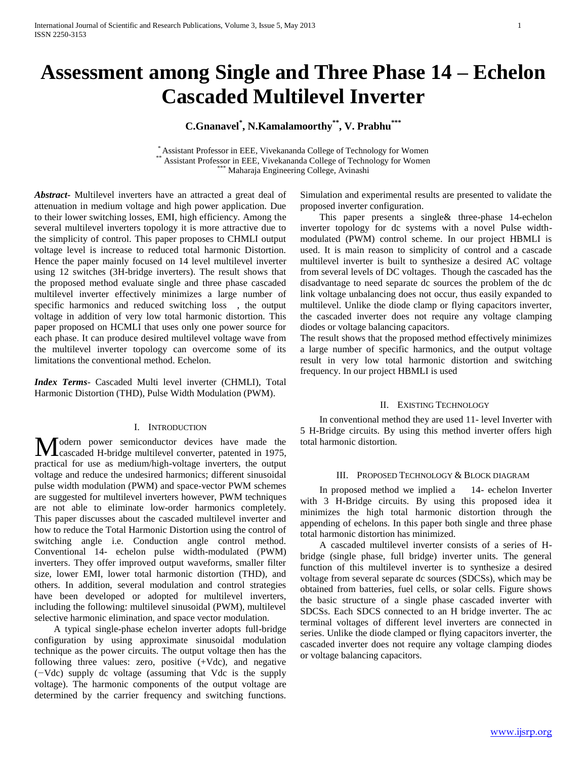# **Assessment among Single and Three Phase 14 – Echelon Cascaded Multilevel Inverter**

**C.Gnanavel\* , N.Kamalamoorthy\*\* , V. Prabhu\*\*\***

\* Assistant Professor in EEE, Vivekananda College of Technology for Women Assistant Professor in EEE, Vivekananda College of Technology for Women \*\*\* Maharaja Engineering College, Avinashi

*Abstract***-** Multilevel inverters have an attracted a great deal of attenuation in medium voltage and high power application. Due to their lower switching losses, EMI, high efficiency. Among the several multilevel inverters topology it is more attractive due to the simplicity of control. This paper proposes to CHMLI output voltage level is increase to reduced total harmonic Distortion. Hence the paper mainly focused on 14 level multilevel inverter using 12 switches (3H-bridge inverters). The result shows that the proposed method evaluate single and three phase cascaded multilevel inverter effectively minimizes a large number of specific harmonics and reduced switching loss , the output voltage in addition of very low total harmonic distortion. This paper proposed on HCMLI that uses only one power source for each phase. It can produce desired multilevel voltage wave from the multilevel inverter topology can overcome some of its limitations the conventional method. Echelon.

*Index Terms*- Cascaded Multi level inverter (CHMLI), Total Harmonic Distortion (THD), Pulse Width Modulation (PWM).

## I. INTRODUCTION

odern power semiconductor devices have made the Modern power semiconductor devices have made the cascaded H-bridge multilevel converter, patented in 1975, practical for use as medium/high-voltage inverters, the output voltage and reduce the undesired harmonics; different sinusoidal pulse width modulation (PWM) and space-vector PWM schemes are suggested for multilevel inverters however, PWM techniques are not able to eliminate low-order harmonics completely. This paper discusses about the cascaded multilevel inverter and how to reduce the Total Harmonic Distortion using the control of switching angle i.e. Conduction angle control method. Conventional 14- echelon pulse width-modulated (PWM) inverters. They offer improved output waveforms, smaller filter size, lower EMI, lower total harmonic distortion (THD), and others. In addition, several modulation and control strategies have been developed or adopted for multilevel inverters, including the following: multilevel sinusoidal (PWM), multilevel selective harmonic elimination, and space vector modulation.

 A typical single-phase echelon inverter adopts full-bridge configuration by using approximate sinusoidal modulation technique as the power circuits. The output voltage then has the following three values: zero, positive (+Vdc), and negative (*−*Vdc) supply dc voltage (assuming that Vdc is the supply voltage). The harmonic components of the output voltage are determined by the carrier frequency and switching functions.

Simulation and experimental results are presented to validate the proposed inverter configuration.

 This paper presents a single& three-phase 14-echelon inverter topology for dc systems with a novel Pulse widthmodulated (PWM) control scheme. In our project HBMLI is used. It is main reason to simplicity of control and a cascade multilevel inverter is built to synthesize a desired AC voltage from several levels of DC voltages. Though the cascaded has the disadvantage to need separate dc sources the problem of the dc link voltage unbalancing does not occur, thus easily expanded to multilevel. Unlike the diode clamp or flying capacitors inverter, the cascaded inverter does not require any voltage clamping diodes or voltage balancing capacitors.

The result shows that the proposed method effectively minimizes a large number of specific harmonics, and the output voltage result in very low total harmonic distortion and switching frequency. In our project HBMLI is used

# II. EXISTING TECHNOLOGY

 In conventional method they are used 11- level Inverter with 5 H-Bridge circuits. By using this method inverter offers high total harmonic distortion.

## III. PROPOSED TECHNOLOGY & BLOCK DIAGRAM

 In proposed method we implied a 14- echelon Inverter with 3 H-Bridge circuits. By using this proposed idea it minimizes the high total harmonic distortion through the appending of echelons. In this paper both single and three phase total harmonic distortion has minimized.

 A cascaded multilevel inverter consists of a series of Hbridge (single phase, full bridge) inverter units. The general function of this multilevel inverter is to synthesize a desired voltage from several separate dc sources (SDCSs), which may be obtained from batteries, fuel cells, or solar cells. Figure shows the basic structure of a single phase cascaded inverter with SDCSs. Each SDCS connected to an H bridge inverter. The ac terminal voltages of different level inverters are connected in series. Unlike the diode clamped or flying capacitors inverter, the cascaded inverter does not require any voltage clamping diodes or voltage balancing capacitors.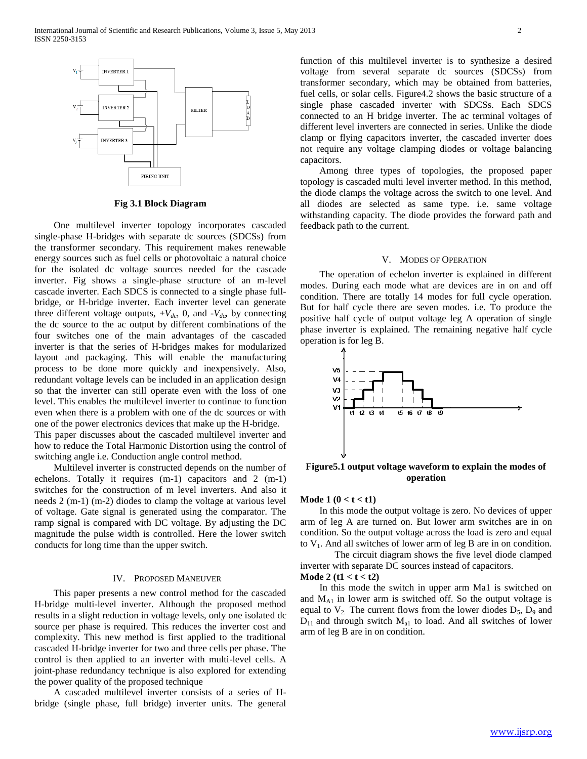

**Fig 3.1 Block Diagram**

 One multilevel inverter topology incorporates cascaded single-phase H-bridges with separate dc sources (SDCSs) from the transformer secondary. This requirement makes renewable energy sources such as fuel cells or photovoltaic a natural choice for the isolated dc voltage sources needed for the cascade inverter. Fig shows a single-phase structure of an m-level cascade inverter. Each SDCS is connected to a single phase fullbridge, or H-bridge inverter. Each inverter level can generate three different voltage outputs,  $+V_{dc}$ , 0, and  $-V_{dc}$ , by connecting the dc source to the ac output by different combinations of the four switches one of the main advantages of the cascaded inverter is that the series of H-bridges makes for modularized layout and packaging. This will enable the manufacturing process to be done more quickly and inexpensively. Also, redundant voltage levels can be included in an application design so that the inverter can still operate even with the loss of one level. This enables the multilevel inverter to continue to function even when there is a problem with one of the dc sources or with one of the power electronics devices that make up the H-bridge. This paper discusses about the cascaded multilevel inverter and how to reduce the Total Harmonic Distortion using the control of switching angle i.e. Conduction angle control method.

 Multilevel inverter is constructed depends on the number of echelons. Totally it requires (m-1) capacitors and 2 (m-1) switches for the construction of m level inverters. And also it needs 2 (m-1) (m-2) diodes to clamp the voltage at various level of voltage. Gate signal is generated using the comparator. The ramp signal is compared with DC voltage. By adjusting the DC magnitude the pulse width is controlled. Here the lower switch conducts for long time than the upper switch.

#### IV. PROPOSED MANEUVER

 This paper presents a new control method for the cascaded H-bridge multi-level inverter. Although the proposed method results in a slight reduction in voltage levels, only one isolated dc source per phase is required. This reduces the inverter cost and complexity. This new method is first applied to the traditional cascaded H-bridge inverter for two and three cells per phase. The control is then applied to an inverter with multi-level cells. A joint-phase redundancy technique is also explored for extending the power quality of the proposed technique

 A cascaded multilevel inverter consists of a series of Hbridge (single phase, full bridge) inverter units. The general function of this multilevel inverter is to synthesize a desired voltage from several separate dc sources (SDCSs) from transformer secondary, which may be obtained from batteries, fuel cells, or solar cells. Figure4.2 shows the basic structure of a single phase cascaded inverter with SDCSs. Each SDCS connected to an H bridge inverter. The ac terminal voltages of different level inverters are connected in series. Unlike the diode clamp or flying capacitors inverter, the cascaded inverter does not require any voltage clamping diodes or voltage balancing capacitors.

 Among three types of topologies, the proposed paper topology is cascaded multi level inverter method. In this method, the diode clamps the voltage across the switch to one level. And all diodes are selected as same type. i.e. same voltage withstanding capacity. The diode provides the forward path and feedback path to the current.

### V. MODES OF OPERATION

 The operation of echelon inverter is explained in different modes. During each mode what are devices are in on and off condition. There are totally 14 modes for full cycle operation. But for half cycle there are seven modes. i.e. To produce the positive half cycle of output voltage leg A operation of single phase inverter is explained. The remaining negative half cycle operation is for leg B.



**Figure5.1 output voltage waveform to explain the modes of operation**

# **Mode 1 (0 < t < t1)**

 In this mode the output voltage is zero. No devices of upper arm of leg A are turned on. But lower arm switches are in on condition. So the output voltage across the load is zero and equal to  $V_1$ . And all switches of lower arm of leg B are in on condition.

The circuit diagram shows the five level diode clamped inverter with separate DC sources instead of capacitors.

# **Mode 2 (t1 < t < t2)**

 In this mode the switch in upper arm Ma1 is switched on and  $M_{A1}$  in lower arm is switched off. So the output voltage is equal to  $V_2$ . The current flows from the lower diodes  $D_5$ ,  $D_9$  and  $D_{11}$  and through switch  $M_{a1}$  to load. And all switches of lower arm of leg B are in on condition.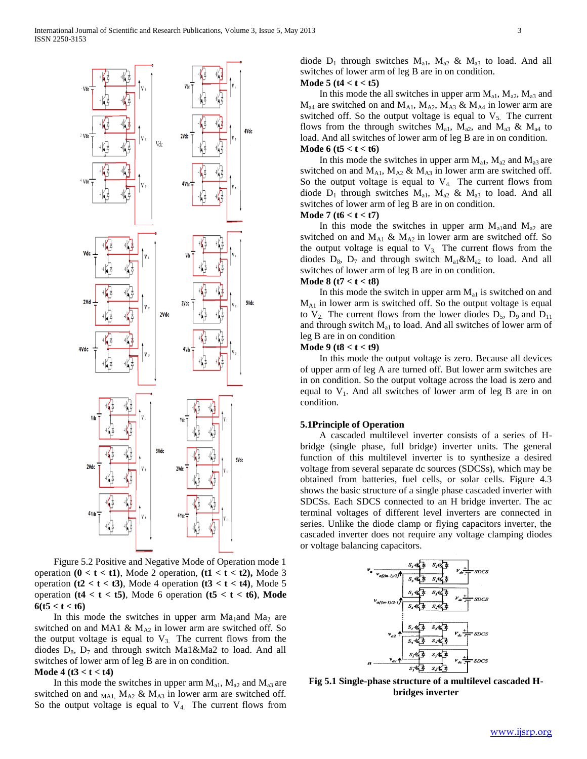

 Figure 5.2 Positive and Negative Mode of Operation mode 1 operation  $(0 < t < t1)$ , Mode 2 operation,  $(t1 < t < t2)$ , Mode 3 operation  $(t2 < t < t3)$ , Mode 4 operation  $(t3 < t < t4)$ , Mode 5 operation **(t4 < t < t5)**, Mode 6 operation **(t5 < t < t6)**, **Mode**   $6(t5 < t < t6)$ 

In this mode the switches in upper arm  $Ma<sub>1</sub>$  and  $Ma<sub>2</sub>$  are switched on and MA1 &  $M_{A2}$  in lower arm are switched off. So the output voltage is equal to  $V_3$ . The current flows from the diodes  $D_8$ ,  $D_7$  and through switch Ma1&Ma2 to load. And all switches of lower arm of leg B are in on condition.

#### **Mode 4 (t3 < t < t4)**

In this mode the switches in upper arm  $M_{a1}$ ,  $M_{a2}$  and  $M_{a3}$  are switched on and  $_{\text{MA1}}$ ,  $M_{\text{A2}}$  &  $M_{\text{A3}}$  in lower arm are switched off. So the output voltage is equal to  $V_4$ . The current flows from diode  $D_1$  through switches  $M_{a1}$ ,  $M_{a2}$  &  $M_{a3}$  to load. And all switches of lower arm of leg B are in on condition. **Mode 5 (t4 < t < t5)**

In this mode the all switches in upper arm  $M_{a1}$ ,  $M_{a2}$ ,  $M_{a3}$  and  $M_{a4}$  are switched on and  $M_{A1}$ ,  $M_{A2}$ ,  $M_{A3}$  &  $M_{A4}$  in lower arm are switched off. So the output voltage is equal to  $V<sub>5</sub>$ . The current flows from the through switches  $M_{a1}$ ,  $M_{a2}$ , and  $M_{a3}$  &  $M_{a4}$  to load. And all switches of lower arm of leg B are in on condition. **Mode 6 (t5 < t < t6)**

In this mode the switches in upper arm  $M_{a1}$ ,  $M_{a2}$  and  $M_{a3}$  are switched on and  $M_{A1}$ ,  $M_{A2}$  &  $M_{A3}$  in lower arm are switched off. So the output voltage is equal to  $V_4$ . The current flows from diode  $D_1$  through switches  $M_{a1}$ ,  $M_{a2}$  &  $M_{a3}$  to load. And all switches of lower arm of leg B are in on condition.

## **Mode 7 (t6 < t < t7)**

In this mode the switches in upper arm  $M_{a1}$  and  $M_{a2}$  are switched on and  $M_{A1}$  &  $M_{A2}$  in lower arm are switched off. So the output voltage is equal to  $V_{3}$ . The current flows from the diodes  $D_8$ ,  $D_7$  and through switch  $M_{a1} \& M_{a2}$  to load. And all switches of lower arm of leg B are in on condition.

# **Mode 8 (t7 < t < t8)**

In this mode the switch in upper arm  $M_{a1}$  is switched on and MA1 in lower arm is switched off. So the output voltage is equal to  $V_2$ . The current flows from the lower diodes  $D_5$ ,  $D_9$  and  $D_{11}$ and through switch  $M<sub>a1</sub>$  to load. And all switches of lower arm of leg B are in on condition

# **Mode 9 (t8 < t < t9)**

 In this mode the output voltage is zero. Because all devices of upper arm of leg A are turned off. But lower arm switches are in on condition. So the output voltage across the load is zero and equal to  $V_1$ . And all switches of lower arm of leg B are in on condition.

#### **5.1Principle of Operation**

 A cascaded multilevel inverter consists of a series of Hbridge (single phase, full bridge) inverter units. The general function of this multilevel inverter is to synthesize a desired voltage from several separate dc sources (SDCSs), which may be obtained from batteries, fuel cells, or solar cells. Figure 4.3 shows the basic structure of a single phase cascaded inverter with SDCSs. Each SDCS connected to an H bridge inverter. The ac terminal voltages of different level inverters are connected in series. Unlike the diode clamp or flying capacitors inverter, the cascaded inverter does not require any voltage clamping diodes or voltage balancing capacitors.



**Fig 5.1 Single-phase structure of a multilevel cascaded Hbridges inverter**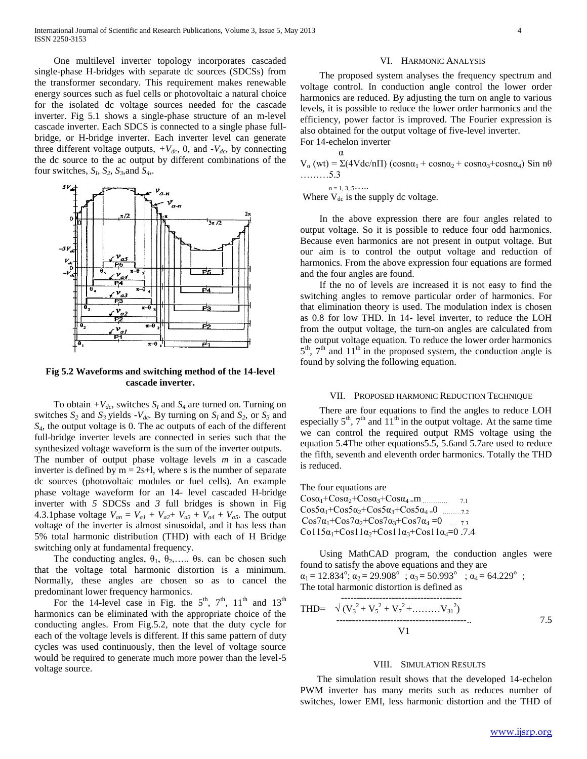One multilevel inverter topology incorporates cascaded single-phase H-bridges with separate dc sources (SDCSs) from the transformer secondary. This requirement makes renewable energy sources such as fuel cells or photovoltaic a natural choice for the isolated dc voltage sources needed for the cascade inverter. Fig 5.1 shows a single-phase structure of an m-level cascade inverter. Each SDCS is connected to a single phase fullbridge, or H-bridge inverter. Each inverter level can generate three different voltage outputs,  $+V_{dc}$ , 0, and  $-V_{dc}$ , by connecting the dc source to the ac output by different combinations of the four switches,  $S_I$ ,  $S_2$ ,  $S_3$ , and  $S_4$ .



**Fig 5.2 Waveforms and switching method of the 14-level cascade inverter.**

To obtain  $+V_{dc}$ , switches  $S_I$  and  $S_4$  are turned on. Turning on switches  $S_2$  and  $S_3$  yields  $-V_{dc}$ *.* By turning on  $S_1$  and  $S_2$ , or  $S_3$  and *S4,* the output voltage is 0. The ac outputs of each of the different full-bridge inverter levels are connected in series such that the synthesized voltage waveform is the sum of the inverter outputs. The number of output phase voltage levels *m* in a cascade inverter is defined by  $m = 2s+1$ , where s is the number of separate dc sources (photovoltaic modules or fuel cells). An example phase voltage waveform for an 14- level cascaded H-bridge inverter with *5* SDCSs and *3* full bridges is shown in Fig 4.3.1phase voltage  $V_{an} = V_{a1} + V_{a2} + V_{a3} + V_{a4} + V_{a5}$ . The output voltage of the inverter is almost sinusoidal, and it has less than 5% total harmonic distribution (THD) with each of H Bridge switching only at fundamental frequency.

The conducting angles,  $\theta_1$ ,  $\theta_2$ ,.....  $\theta$ s. can be chosen such that the voltage total harmonic distortion is a minimum. Normally, these angles are chosen so as to cancel the predominant lower frequency harmonics.

For the 14-level case in Fig. the  $5<sup>th</sup>$ ,  $7<sup>th</sup>$ ,  $11<sup>th</sup>$  and  $13<sup>th</sup>$ harmonics can be eliminated with the appropriate choice of the conducting angles. From Fig.5.2, note that the duty cycle for each of the voltage levels is different. If this same pattern of duty cycles was used continuously, then the level of voltage source would be required to generate much more power than the level-5 voltage source.

#### VI. HARMONIC ANALYSIS

 The proposed system analyses the frequency spectrum and voltage control. In conduction angle control the lower order harmonics are reduced. By adjusting the turn on angle to various levels, it is possible to reduce the lower order harmonics and the efficiency, power factor is improved. The Fourier expression is also obtained for the output voltage of five-level inverter. For 14-echelon inverter

 α  $V_0$  (wt) =  $\Sigma$ (4Vdc/n $\Pi$ ) (cosn $\alpha_1$  + cosn $\alpha_2$  + cosn $\alpha_3$ +cosn $\alpha_4$ ) Sin n $\theta$ ………5.3

 $n = 1, 3, 5 \cdots$ 

Where  $V_{dc}$  is the supply dc voltage.

 In the above expression there are four angles related to output voltage. So it is possible to reduce four odd harmonics. Because even harmonics are not present in output voltage. But our aim is to control the output voltage and reduction of harmonics. From the above expression four equations are formed and the four angles are found.

 If the no of levels are increased it is not easy to find the switching angles to remove particular order of harmonics. For that elimination theory is used. The modulation index is chosen as 0.8 for low THD. In 14- level inverter, to reduce the LOH from the output voltage, the turn-on angles are calculated from the output voltage equation. To reduce the lower order harmonics  $5<sup>th</sup>$ ,  $7<sup>th</sup>$  and  $11<sup>th</sup>$  in the proposed system, the conduction angle is found by solving the following equation.

#### VII. PROPOSED HARMONIC REDUCTION TECHNIQUE

 There are four equations to find the angles to reduce LOH especially  $5<sup>th</sup>$ ,  $7<sup>th</sup>$  and  $11<sup>th</sup>$  in the output voltage. At the same time we can control the required output RMS voltage using the equation 5.4The other equations5.5, 5.6and 5.7are used to reduce the fifth, seventh and eleventh order harmonics. Totally the THD is reduced.

The four equations are Cosα1+Cosα2+Cosα3+Cosα4 =m ………… 7.1 Cos5α1+Cos5α2+Cos5α3+Cos5α4 =0 ………7.2  $Cos7\alpha_1+Cos7\alpha_2+Cos7\alpha_3+Cos7\alpha_4 = 0$  ... 7.3 Co115α<sub>1</sub>+Cos11α<sub>2</sub>+Cos11α<sub>3</sub>+Cos11α<sub>4</sub>=0.7.4

 Using MathCAD program, the conduction angles were found to satisfy the above equations and they are  $\alpha_1 = 12.834^\circ$ ;  $\alpha_2 = 29.908^\circ$ ;  $\alpha_3 = 50.993^\circ$ ;  $\alpha_4 = 64.229^\circ$ ; The total harmonic distortion is defined as

$$
\begin{array}{ll}\n & \cdots \\
\text{THD} = & \sqrt{(V_3^2 + V_5^2 + V_7^2 + \dots + V_{31}^2)} \\
 & \cdots \\
 & \ddots \\
 & \ddots \\
 & \ddots\n\end{array}
$$
\n
$$
\begin{array}{ll}\n & \text{7.5} \\
 & \text{8.1} \\
 & \text{9.1} \\
 & \text{10.1} \\
 & \text{11.1} \\
 & \text{12.1} \\
 & \text{13.1} \\
 & \text{14.1} \\
 & \text{15.1} \\
 & \text{16.1} \\
 & \text{17.2} \\
 & \text{18.1} \\
 & \text{19.1} \\
 & \text{10.1} \\
 & \text{11.1} \\
 & \text{12.1} \\
 & \text{13.1} \\
 & \text{14.1} \\
 & \text{15.1} \\
 & \text{16.1} \\
 & \text{17.2} \\
 & \text{18.1} \\
 & \text{19.2} \\
 & \text{19.3} \\
 & \text{10.1} \\
 & \text{10.1} \\
 & \text{11.1} \\
 & \text{12.1} \\
 & \text{13.1} \\
 & \text{14.1} \\
 & \text{15.1} \\
 & \text{16.1} \\
 & \text{17.2} \\
 & \text{18.1} \\
 & \text{19.2} \\
 & \text{19.3} \\
 & \text{10.1} \\
 & \text{10.1} \\
 & \text{11.1} \\
 & \text{12.1} \\
 & \text{13.1} \\
 & \text{14.1} \\
 & \text{15.1} \\
 & \text{16.1} \\
 & \text{17.2} \\
 & \text{18.1} \\
 & \text{19.2} \\
 & \text{19.3} \\
 & \text{10.1} \\
 & \text{10.1} \\
 & \text{11.1} \\
 & \text{12.1} \\
 & \text{13.1} \\
 & \text{14.1} \\
 & \text{15.1} \\
 & \text{16.1} \\
 & \text{17.2} \\
 & \text{18.1} \\
 & \text{19.2} \\
 & \text{10.1} \\
 & \text{11.1} \\
 & \text{12.1} \\
 & \text{13.1} \\
 & \text{14.1} \\
 & \text{15.1} \\
 & \text{16.1} \\
 & \text{17.2
$$

#### VIII. SIMULATION RESULTS

 The simulation result shows that the developed 14-echelon PWM inverter has many merits such as reduces number of switches, lower EMI, less harmonic distortion and the THD of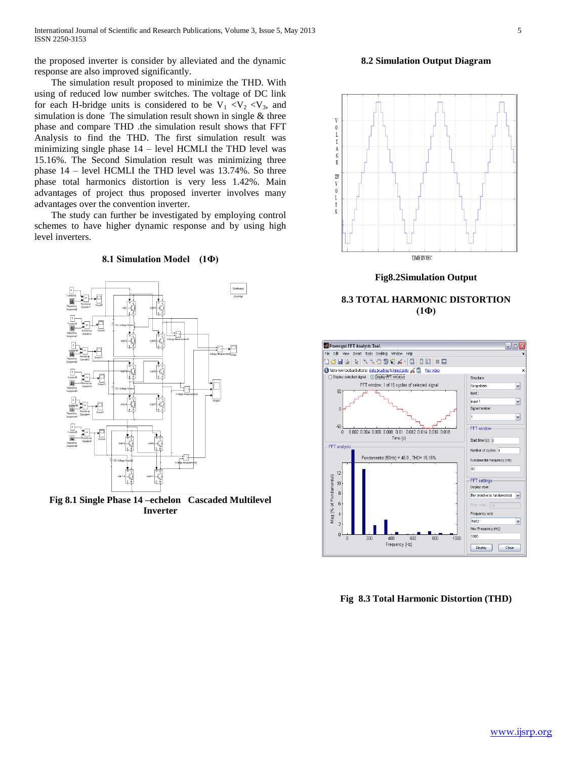the proposed inverter is consider by alleviated and the dynamic response are also improved significantly.

# The simulation result proposed to minimize the THD. With using of reduced low number switches. The voltage of DC link for each H-bridge units is considered to be  $V_1 < V_2 < V_3$ , and simulation is done The simulation result shown in single & three phase and compare THD .the simulation result shows that FFT Analysis to find the THD. The first simulation result was minimizing single phase 14 – level HCMLI the THD level was 15.16%. The Second Simulation result was minimizing three phase 14 – level HCMLI the THD level was 13.74%. So three phase total harmonics distortion is very less 1.42%. Main advantages of project thus proposed inverter involves many advantages over the convention inverter.

 The study can further be investigated by employing control schemes to have higher dynamic response and by using high level inverters.

## **8.1 Simulation Model (1Ф)**



**Fig 8.1 Single Phase 14 –echelon Cascaded Multilevel Inverter**

## **8.2 Simulation Output Diagram**



**Fig8.2Simulation Output**





**Fig 8.3 Total Harmonic Distortion (THD)**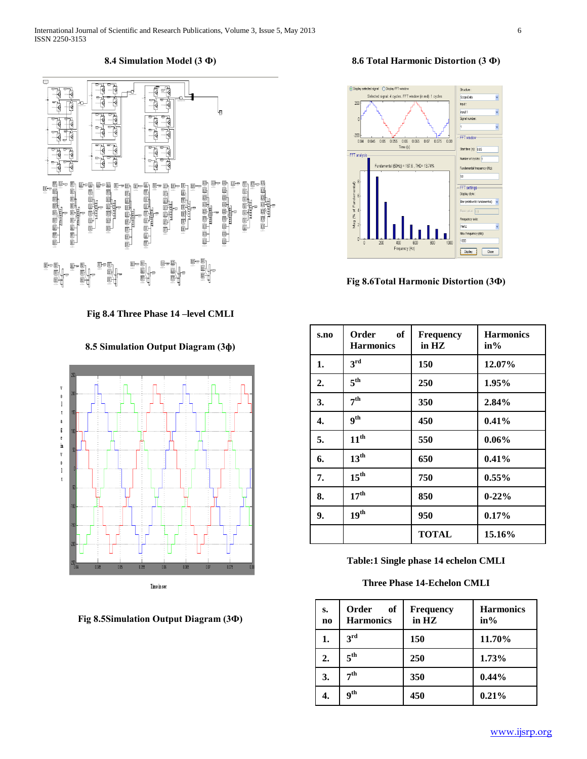# **8.4 Simulation Model (3 Ф)**



**Fig 8.4 Three Phase 14 –level CMLI**

**8.5 Simulation Output Diagram (3ф)**





# **8.6 Total Harmonic Distortion (3 Ф)**



**Fig 8.6Total Harmonic Distortion (3Ф)**

| s.no | Order<br>- of<br><b>Harmonics</b> | <b>Frequency</b><br>in $HZ$ | <b>Harmonics</b><br>$in\%$ |
|------|-----------------------------------|-----------------------------|----------------------------|
| 1.   | 3 <sup>rd</sup>                   | 150                         | 12.07%                     |
| 2.   | 5 <sup>th</sup>                   | 250                         | 1.95%                      |
| 3.   | 7 <sup>th</sup>                   | 350                         | 2.84%                      |
| 4.   | <b>gth</b>                        | 450                         | 0.41%                      |
| 5.   | 11 <sup>th</sup>                  | 550                         | $0.06\%$                   |
| 6.   | $13^{\text{th}}$                  | 650                         | 0.41%                      |
| 7.   | $15^{\text{th}}$                  | 750                         | $0.55\%$                   |
| 8.   | 17 <sup>th</sup>                  | 850                         | $0 - 22%$                  |
| 9.   | 19 <sup>th</sup>                  | 950                         | $0.17\%$                   |
|      |                                   | <b>TOTAL</b>                | 15.16%                     |

**Table:1 Single phase 14 echelon CMLI**

# **Three Phase 14-Echelon CMLI**

| s.<br>$\bf{no}$ | Order<br>of<br><b>Harmonics</b> | <b>Frequency</b><br>in $HZ$ | <b>Harmonics</b><br>$in\%$ |
|-----------------|---------------------------------|-----------------------------|----------------------------|
| 1.              | 3 <sup>rd</sup>                 | 150                         | 11.70%                     |
| 2.              | 5 <sup>th</sup>                 | 250                         | 1.73%                      |
| 3.              | $\boldsymbol{\tau}$ th          | 350                         | $0.44\%$                   |
| 4.              | $\mathbf{q}^{\text{th}}$        | 450                         | 0.21%                      |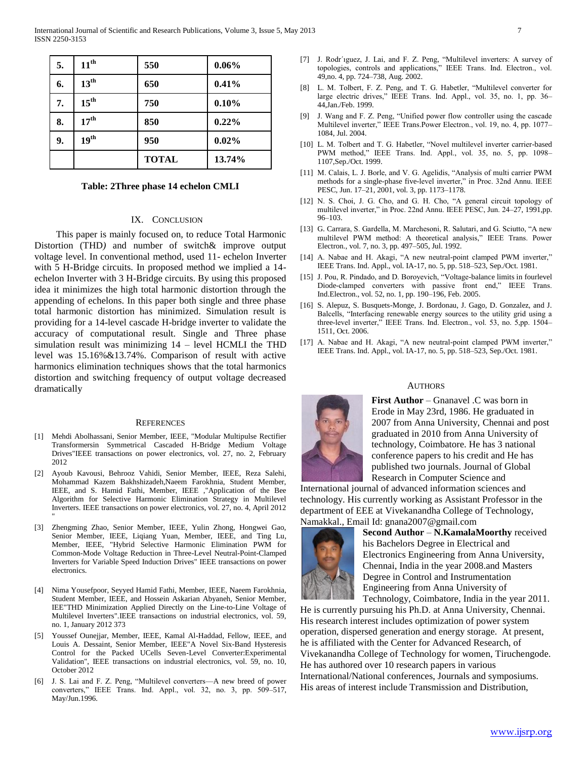| 5. | $11^{\text{th}}$ | 550          | 0.06%  |
|----|------------------|--------------|--------|
| 6. | $13^{\text{th}}$ | 650          | 0.41%  |
| 7. | $15^{\text{th}}$ | 750          | 0.10%  |
| 8. | 17 <sup>th</sup> | 850          | 0.22%  |
| 9. | 19 <sup>th</sup> | 950          | 0.02%  |
|    |                  | <b>TOTAL</b> | 13.74% |

#### **Table: 2Three phase 14 echelon CMLI**

## IX. CONCLUSION

 This paper is mainly focused on, to reduce Total Harmonic Distortion (THD) and number of switch & improve output voltage level. In conventional method, used 11- echelon Inverter with 5 H-Bridge circuits. In proposed method we implied a 14 echelon Inverter with 3 H-Bridge circuits. By using this proposed idea it minimizes the high total harmonic distortion through the appending of echelons. In this paper both single and three phase total harmonic distortion has minimized. Simulation result is providing for a 14-level cascade H-bridge inverter to validate the accuracy of computational result. Single and Three phase simulation result was minimizing 14 – level HCMLI the THD level was 15.16%&13.74%. Comparison of result with active harmonics elimination techniques shows that the total harmonics distortion and switching frequency of output voltage decreased dramatically

#### **REFERENCES**

- [1] Mehdi Abolhassani, Senior Member, IEEE, "Modular Multipulse Rectifier Transformersin Symmetrical Cascaded H-Bridge Medium Voltage Drives"IEEE transactions on power electronics, vol. 27, no. 2, February 2012
- [2] Ayoub Kavousi, Behrooz Vahidi, Senior Member, IEEE, Reza Salehi, Mohammad Kazem Bakhshizadeh,Naeem Farokhnia, Student Member, IEEE, and S. Hamid Fathi, Member, IEEE ,"Application of the Bee Algorithm for Selective Harmonic Elimination Strategy in Multilevel Inverters. IEEE transactions on power electronics, vol. 27, no. 4, April 2012

"

- [3] Zhengming Zhao, Senior Member, IEEE, Yulin Zhong, Hongwei Gao, Senior Member, IEEE, Liqiang Yuan, Member, IEEE, and Ting Lu, Member, IEEE, "Hybrid Selective Harmonic Elimination PWM for Common-Mode Voltage Reduction in Three-Level Neutral-Point-Clamped Inverters for Variable Speed Induction Drives" IEEE transactions on power electronics.
- [4] Nima Yousefpoor, Seyyed Hamid Fathi, Member, IEEE, Naeem Farokhnia, Student Member, IEEE, and Hossein Askarian Abyaneh, Senior Member, IEE"THD Minimization Applied Directly on the Line-to-Line Voltage of Multilevel Inverters".IEEE transactions on industrial electronics, vol. 59, no. 1, January 2012 373
- [5] Youssef Ounejjar, Member, IEEE, Kamal Al-Haddad, Fellow, IEEE, and Louis A. Dessaint, Senior Member, IEEE"A Novel Six-Band Hysteresis Control for the Packed UCells Seven-Level Converter:Experimental Validation", IEEE transactions on industrial electronics, vol. 59, no. 10, October 2012
- [6] J. S. Lai and F. Z. Peng, "Multilevel converters—A new breed of power converters," IEEE Trans. Ind. Appl., vol. 32, no. 3, pp. 509–517, May/Jun.1996.
- [7] J. Rodr´ıguez, J. Lai, and F. Z. Peng, "Multilevel inverters: A survey of topologies, controls and applications," IEEE Trans. Ind. Electron., vol. 49,no. 4, pp. 724–738, Aug. 2002.
- [8] L. M. Tolbert, F. Z. Peng, and T. G. Habetler, "Multilevel converter for large electric drives," IEEE Trans. Ind. Appl., vol. 35, no. 1, pp. 36– 44,Jan./Feb. 1999.
- [9] J. Wang and F. Z. Peng, "Unified power flow controller using the cascade Multilevel inverter," IEEE Trans.Power Electron., vol. 19, no. 4, pp. 1077– 1084, Jul. 2004.
- [10] L. M. Tolbert and T. G. Habetler, "Novel multilevel inverter carrier-based PWM method," IEEE Trans. Ind. Appl., vol. 35, no. 5, pp. 1098– 1107,Sep./Oct. 1999.
- [11] M. Calais, L. J. Borle, and V. G. Agelidis, "Analysis of multi carrier PWM methods for a single-phase five-level inverter," in Proc. 32nd Annu. IEEE PESC, Jun. 17–21, 2001, vol. 3, pp. 1173–1178.
- [12] N. S. Choi, J. G. Cho, and G. H. Cho, "A general circuit topology of multilevel inverter," in Proc. 22nd Annu. IEEE PESC, Jun. 24–27, 1991,pp. 96–103.
- [13] G. Carrara, S. Gardella, M. Marchesoni, R. Salutari, and G. Sciutto, "A new multilevel PWM method: A theoretical analysis," IEEE Trans. Power Electron., vol. 7, no. 3, pp. 497–505, Jul. 1992.
- [14] A. Nabae and H. Akagi, "A new neutral-point clamped PWM inverter," IEEE Trans. Ind. Appl., vol. IA-17, no. 5, pp. 518–523, Sep./Oct. 1981.
- [15] J. Pou, R. Pindado, and D. Boroyevich, "Voltage-balance limits in fourlevel Diode-clamped converters with passive front end," IEEE Trans. Ind.Electron., vol. 52, no. 1, pp. 190–196, Feb. 2005.
- [16] S. Alepuz, S. Busquets-Monge, J. Bordonau, J. Gago, D. Gonzalez, and J. Balcells, "Interfacing renewable energy sources to the utility grid using a three-level inverter," IEEE Trans. Ind. Electron., vol. 53, no. 5,pp. 1504– 1511, Oct. 2006.
- [17] A. Nabae and H. Akagi, "A new neutral-point clamped PWM inverter," IEEE Trans. Ind. Appl., vol. IA-17, no. 5, pp. 518–523, Sep./Oct. 1981.

#### AUTHORS



**First Author** – Gnanavel .C was born in Erode in May 23rd, 1986. He graduated in 2007 from Anna University, Chennai and post graduated in 2010 from Anna University of technology, Coimbatore. He has 3 national conference papers to his credit and He has published two journals. Journal of Global Research in Computer Science and

International journal of advanced information sciences and technology. His currently working as Assistant Professor in the department of EEE at Vivekanandha College of Technology, Namakkal., Email Id: gnana2007@gmail.com



**Second Author** – **N.KamalaMoorthy** received his Bachelors Degree in Electrical and Electronics Engineering from Anna University, Chennai, India in the year 2008.and Masters Degree in Control and Instrumentation Engineering from Anna University of Technology, Coimbatore, India in the year 2011.

He is currently pursuing his Ph.D. at Anna University, Chennai. His research interest includes optimization of power system operation, dispersed generation and energy storage. At present, he is affiliated with the Center for Advanced Research, of Vivekanandha College of Technology for women, Tiruchengode. He has authored over 10 research papers in various International/National conferences, Journals and symposiums. His areas of interest include Transmission and Distribution,